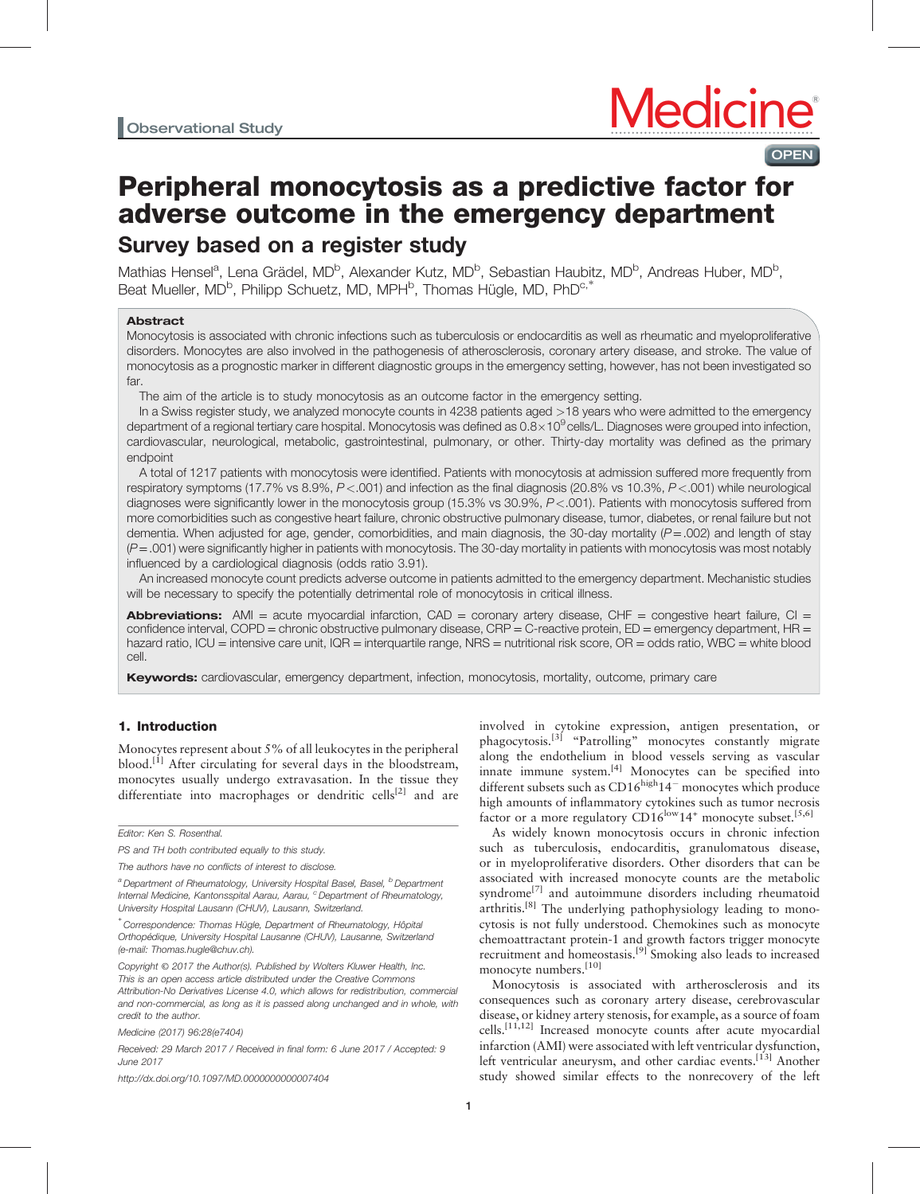# OPEN

# Peripheral monocytosis as a predictive factor for adverse outcome in the emergency department Survey based on a register study

Mathias Hensel<sup>a</sup>, Lena Grädel, MD<sup>b</sup>, Alexander Kutz, MD<sup>b</sup>, Sebastian Haubitz, MD<sup>b</sup>, Andreas Huber, MD<sup>b</sup>, nummer nerver, Dener Breek, MD, Montaneer Ind., MD, Peersonal Indian Collection of the Beat Mueller, MD<sup>b</sup>, Philipp Schuetz, MD, MPH<sup>b</sup>, Thomas Hügle, MD, PhD<sup>c,∗</sup>

#### Abstract

Monocytosis is associated with chronic infections such as tuberculosis or endocarditis as well as rheumatic and myeloproliferative disorders. Monocytes are also involved in the pathogenesis of atherosclerosis, coronary artery disease, and stroke. The value of monocytosis as a prognostic marker in different diagnostic groups in the emergency setting, however, has not been investigated so far.

The aim of the article is to study monocytosis as an outcome factor in the emergency setting.

In a Swiss register study, we analyzed monocyte counts in 4238 patients aged >18 years who were admitted to the emergency department of a regional tertiary care hospital. Monocytosis was defined as  $0.8\times10^9$  cells/L. Diagnoses were grouped into infection, cardiovascular, neurological, metabolic, gastrointestinal, pulmonary, or other. Thirty-day mortality was defined as the primary endpoint

A total of 1217 patients with monocytosis were identified. Patients with monocytosis at admission suffered more frequently from respiratory symptoms (17.7% vs 8.9%, P<.001) and infection as the final diagnosis (20.8% vs 10.3%, P<.001) while neurological diagnoses were significantly lower in the monocytosis group (15.3% vs 30.9%, P<.001). Patients with monocytosis suffered from more comorbidities such as congestive heart failure, chronic obstructive pulmonary disease, tumor, diabetes, or renal failure but not dementia. When adjusted for age, gender, comorbidities, and main diagnosis, the 30-day mortality ( $P = .002$ ) and length of stay  $(P=.001)$  were significantly higher in patients with monocytosis. The 30-day mortality in patients with monocytosis was most notably influenced by a cardiological diagnosis (odds ratio 3.91).

An increased monocyte count predicts adverse outcome in patients admitted to the emergency department. Mechanistic studies will be necessary to specify the potentially detrimental role of monocytosis in critical illness.

**Abbreviations:** AMI = acute myocardial infarction,  $CAD =$  coronary artery disease,  $CHF =$  congestive heart failure,  $CI =$ confidence interval, COPD = chronic obstructive pulmonary disease, CRP = C-reactive protein, ED = emergency department, HR = hazard ratio, ICU = intensive care unit, IQR = interquartile range, NRS = nutritional risk score, OR = odds ratio, WBC = white blood cell.

**Keywords:** cardiovascular, emergency department, infection, monocytosis, mortality, outcome, primary care

## 1. Introduction

Monocytes represent about 5% of all leukocytes in the peripheral blood.<sup>[\[1\]](#page-5-0)</sup> After circulating for several days in the bloodstream, monocytes usually undergo extravasation. In the tissue they differentiate into macrophages or dendritic cells<sup>[\[2\]](#page-5-0)</sup> and are

Editor: Ken S. Rosenthal.

Medicine (2017) 96:28(e7404)

Received: 29 March 2017 / Received in final form: 6 June 2017 / Accepted: 9 June 2017

<http://dx.doi.org/10.1097/MD.0000000000007404>

involved in cytokine expression, antigen presentation, or phagocytosis.<sup>[\[3\]](#page-5-0)</sup> "Patrolling" monocytes constantly migrate along the endothelium in blood vessels serving as vascular innate immune system. $[4]$  Monocytes can be specified into different subsets such as  $CD16^{high}14^-$  monocytes which produce high amounts of inflammatory cytokines such as tumor necrosis factor or a more regulatory  $CD16^{\text{low}}14^+$  monocyte subset.<sup>[5,6]</sup>

As widely known monocytosis occurs in chronic infection such as tuberculosis, endocarditis, granulomatous disease, or in myeloproliferative disorders. Other disorders that can be associated with increased monocyte counts are the metabolic syndrome<sup>[\[7\]](#page-5-0)</sup> and autoimmune disorders including rheumatoid arthritis.<sup>[\[8\]](#page-5-0)</sup> The underlying pathophysiology leading to monocytosis is not fully understood. Chemokines such as monocyte chemoattractant protein-1 and growth factors trigger monocyte recruitment and homeostasis.<sup>[\[9\]](#page-5-0)</sup> Smoking also leads to increased monocyte numbers.<sup>[\[10\]](#page-5-0)</sup>

Monocytosis is associated with artherosclerosis and its consequences such as coronary artery disease, cerebrovascular disease, or kidney artery stenosis, for example, as a source of foam cells.<sup>[11,12]</sup> Increased monocyte counts after acute myocardial infarction (AMI) were associated with left ventricular dysfunction, left ventricular aneurysm, and other cardiac events.<sup>[13]</sup> Another study showed similar effects to the nonrecovery of the left

PS and TH both contributed equally to this study.

The authors have no conflicts of interest to disclose.

<sup>&</sup>lt;sup>a</sup> Department of Rheumatology, University Hospital Basel, Basel, <sup>b</sup> Department Internal Medicine, Kantonsspital Aarau, Aarau, <sup>c</sup> Department of Rheumatology, University Hospital Lausann (CHUV), Lausann, Switzerland.

<sup>∗</sup> Correspondence: Thomas Hügle, Department of Rheumatology, Hôpital Orthopédique, University Hospital Lausanne (CHUV), Lausanne, Switzerland (e-mail: [Thomas.hugle@chuv.ch\)](mailto:Thomas.hugle@chuv.ch).

Copyright © 2017 the Author(s). Published by Wolters Kluwer Health, Inc. This is an open access article distributed under the [Creative Commons](http://creativecommons.org/licenses/by-nd/4.0) [Attribution-No Derivatives License 4.0,](http://creativecommons.org/licenses/by-nd/4.0) which allows for redistribution, commercial and non-commercial, as long as it is passed along unchanged and in whole, with credit to the author.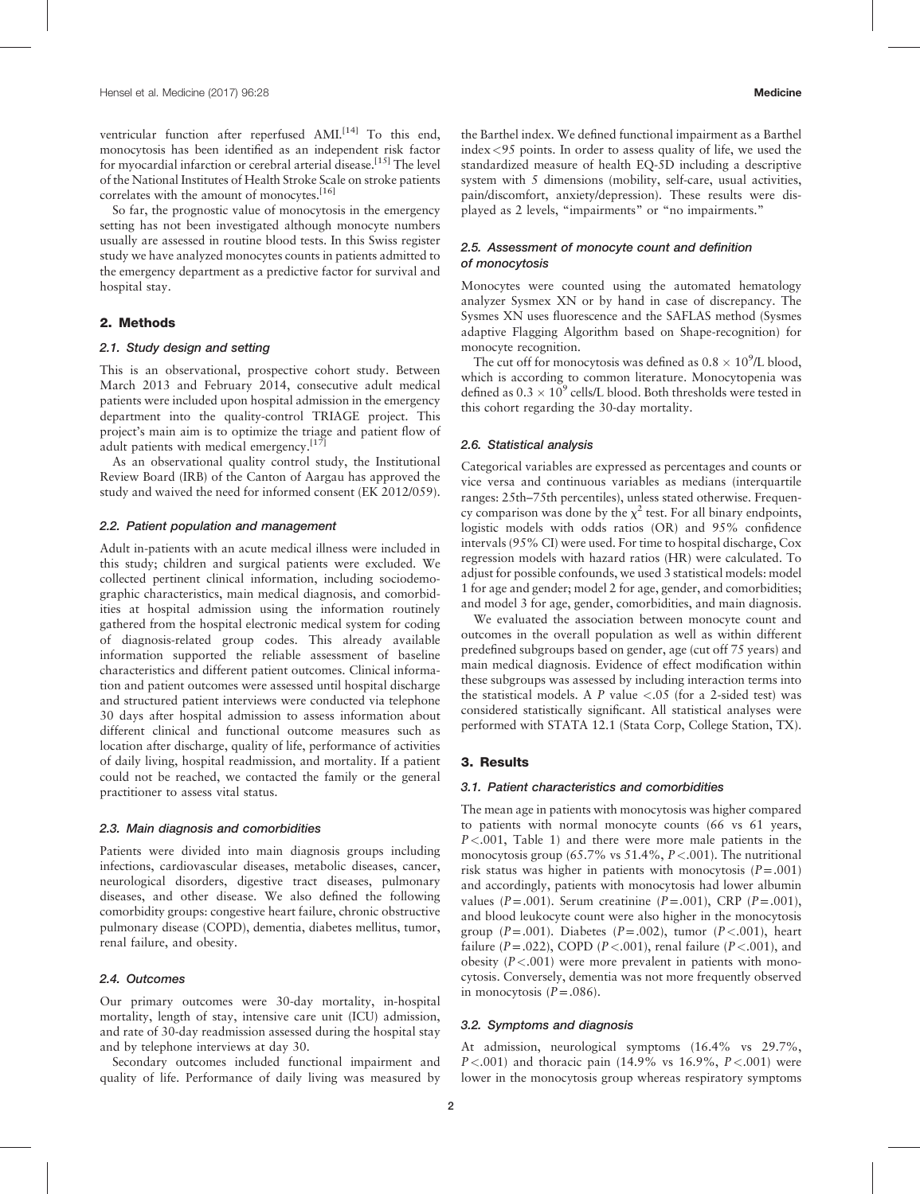ventricular function after reperfused AMI.<sup>[14]</sup> To this end, monocytosis has been identified as an independent risk factor for myocardial infarction or cerebral arterial disease.<sup>[15]</sup> The level of the National Institutes of Health Stroke Scale on stroke patients correlates with the amount of monocytes.<sup>[\[16\]](#page-6-0)</sup>

So far, the prognostic value of monocytosis in the emergency setting has not been investigated although monocyte numbers usually are assessed in routine blood tests. In this Swiss register study we have analyzed monocytes counts in patients admitted to the emergency department as a predictive factor for survival and hospital stay.

# 2. Methods

#### 2.1. Study design and setting

This is an observational, prospective cohort study. Between March 2013 and February 2014, consecutive adult medical patients were included upon hospital admission in the emergency department into the quality-control TRIAGE project. This project's main aim is to optimize the triage and patient flow of adult patients with medical emergency.<sup>[\[17\]](#page-6-0)</sup>

As an observational quality control study, the Institutional Review Board (IRB) of the Canton of Aargau has approved the study and waived the need for informed consent (EK 2012/059).

#### 2.2. Patient population and management

Adult in-patients with an acute medical illness were included in this study; children and surgical patients were excluded. We collected pertinent clinical information, including sociodemographic characteristics, main medical diagnosis, and comorbidities at hospital admission using the information routinely gathered from the hospital electronic medical system for coding of diagnosis-related group codes. This already available information supported the reliable assessment of baseline characteristics and different patient outcomes. Clinical information and patient outcomes were assessed until hospital discharge and structured patient interviews were conducted via telephone 30 days after hospital admission to assess information about different clinical and functional outcome measures such as location after discharge, quality of life, performance of activities of daily living, hospital readmission, and mortality. If a patient could not be reached, we contacted the family or the general practitioner to assess vital status.

#### 2.3. Main diagnosis and comorbidities

Patients were divided into main diagnosis groups including infections, cardiovascular diseases, metabolic diseases, cancer, neurological disorders, digestive tract diseases, pulmonary diseases, and other disease. We also defined the following comorbidity groups: congestive heart failure, chronic obstructive pulmonary disease (COPD), dementia, diabetes mellitus, tumor, renal failure, and obesity.

## 2.4. Outcomes

Our primary outcomes were 30-day mortality, in-hospital mortality, length of stay, intensive care unit (ICU) admission, and rate of 30-day readmission assessed during the hospital stay and by telephone interviews at day 30.

Secondary outcomes included functional impairment and quality of life. Performance of daily living was measured by

the Barthel index. We defined functional impairment as a Barthel index<95 points. In order to assess quality of life, we used the standardized measure of health EQ-5D including a descriptive system with 5 dimensions (mobility, self-care, usual activities, pain/discomfort, anxiety/depression). These results were displayed as 2 levels, "impairments" or "no impairments."

# 2.5. Assessment of monocyte count and definition of monocytosis

Monocytes were counted using the automated hematology analyzer Sysmex XN or by hand in case of discrepancy. The Sysmes XN uses fluorescence and the SAFLAS method (Sysmes adaptive Flagging Algorithm based on Shape-recognition) for monocyte recognition.

The cut off for monocytosis was defined as  $0.8 \times 10^9$ /L blood, which is according to common literature. Monocytopenia was defined as  $0.3 \times 10^9$  cells/L blood. Both thresholds were tested in this cohort regarding the 30-day mortality.

#### 2.6. Statistical analysis

Categorical variables are expressed as percentages and counts or vice versa and continuous variables as medians (interquartile ranges: 25th–75th percentiles), unless stated otherwise. Frequency comparison was done by the  $\chi^2$  test. For all binary endpoints, logistic models with odds ratios (OR) and 95% confidence intervals (95% CI) were used. For time to hospital discharge, Cox regression models with hazard ratios (HR) were calculated. To adjust for possible confounds, we used 3 statistical models: model 1 for age and gender; model 2 for age, gender, and comorbidities; and model 3 for age, gender, comorbidities, and main diagnosis.

We evaluated the association between monocyte count and outcomes in the overall population as well as within different predefined subgroups based on gender, age (cut off 75 years) and main medical diagnosis. Evidence of effect modification within these subgroups was assessed by including interaction terms into the statistical models. A P value  $\langle .05 \rangle$  (for a 2-sided test) was considered statistically significant. All statistical analyses were performed with STATA 12.1 (Stata Corp, College Station, TX).

#### 3. Results

#### 3.1. Patient characteristics and comorbidities

The mean age in patients with monocytosis was higher compared to patients with normal monocyte counts (66 vs 61 years,  $P < .001$ , [Table 1](#page-2-0)) and there were more male patients in the monocytosis group (65.7% vs 51.4%,  $P < .001$ ). The nutritional risk status was higher in patients with monocytosis  $(P=.001)$ and accordingly, patients with monocytosis had lower albumin values ( $P = .001$ ). Serum creatinine ( $P = .001$ ), CRP ( $P = .001$ ), and blood leukocyte count were also higher in the monocytosis group ( $P = .001$ ). Diabetes ( $P = .002$ ), tumor ( $P < .001$ ), heart failure ( $P = .022$ ), COPD ( $P < .001$ ), renal failure ( $P < .001$ ), and obesity  $(P < .001)$  were more prevalent in patients with monocytosis. Conversely, dementia was not more frequently observed in monocytosis  $(P=.086)$ .

#### 3.2. Symptoms and diagnosis

At admission, neurological symptoms (16.4% vs 29.7%,  $P < .001$ ) and thoracic pain (14.9% vs 16.9%,  $P < .001$ ) were lower in the monocytosis group whereas respiratory symptoms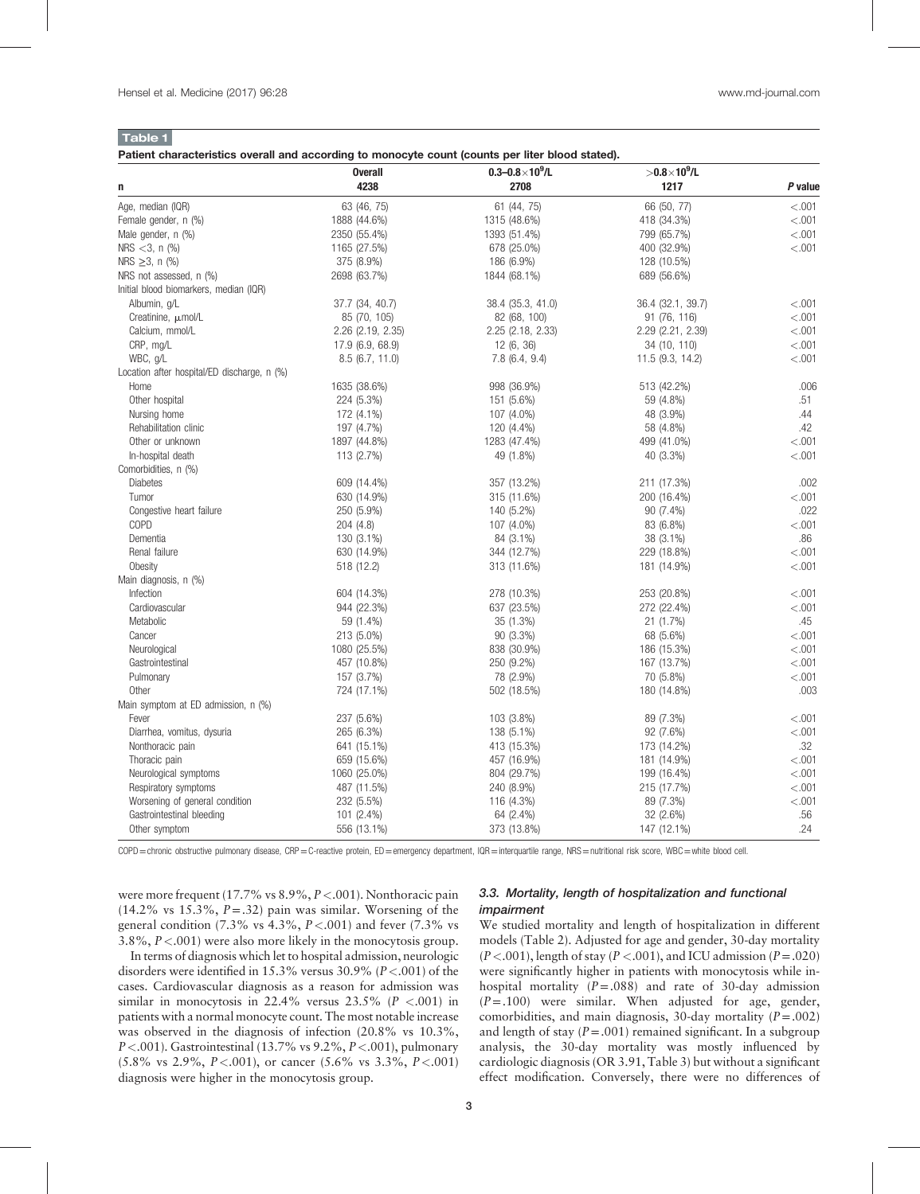<span id="page-2-0"></span>Table 1

Patient characteristics overall and according to monocyte count (counts per liter blood stated).

|                                             | <b>Overall</b>    | $0.3 - 0.8 \times 10^9$ /L | $> 0.8 \times 10^9$ /L |         |
|---------------------------------------------|-------------------|----------------------------|------------------------|---------|
| n                                           | 4238              | 2708                       | 1217                   | P value |
| Age, median (IQR)                           | 63 (46, 75)       | 61 (44, 75)                | 66 (50, 77)            | < 0.001 |
| Female gender, n (%)                        | 1888 (44.6%)      | 1315 (48.6%)               | 418 (34.3%)            | < .001  |
| Male gender, n (%)                          | 2350 (55.4%)      | 1393 (51.4%)               | 799 (65.7%)            | < .001  |
| NRS $<$ 3, n (%)                            | 1165 (27.5%)      | 678 (25.0%)                | 400 (32.9%)            | < 0.001 |
| NRS $\geq 3$ , n (%)                        | 375 (8.9%)        | 186 (6.9%)                 | 128 (10.5%)            |         |
| NRS not assessed, n (%)                     | 2698 (63.7%)      | 1844 (68.1%)               | 689 (56.6%)            |         |
| Initial blood biomarkers, median (IQR)      |                   |                            |                        |         |
| Albumin, g/L                                | 37.7 (34, 40.7)   | 38.4 (35.3, 41.0)          | 36.4 (32.1, 39.7)      | < 0.001 |
| Creatinine, pmol/L                          | 85 (70, 105)      | 82 (68, 100)               | 91 (76, 116)           | < .001  |
| Calcium, mmol/L                             | 2.26 (2.19, 2.35) | 2.25 (2.18, 2.33)          | 2.29 (2.21, 2.39)      | < .001  |
| CRP, mg/L                                   | 17.9 (6.9, 68.9)  | 12 (6, 36)                 | 34 (10, 110)           | < .001  |
| WBC, g/L                                    | 8.5(6.7, 11.0)    | 7.8(6.4, 9.4)              | 11.5 (9.3, 14.2)       | < 0.001 |
| Location after hospital/ED discharge, n (%) |                   |                            |                        |         |
| Home                                        | 1635 (38.6%)      | 998 (36.9%)                | 513 (42.2%)            | .006    |
| Other hospital                              | 224 (5.3%)        | 151 (5.6%)                 | 59 (4.8%)              | .51     |
| Nursing home                                | 172 (4.1%)        | 107 (4.0%)                 | 48 (3.9%)              | .44     |
| Rehabilitation clinic                       | 197 (4.7%)        | 120 (4.4%)                 | 58 (4.8%)              | .42     |
| Other or unknown                            | 1897 (44.8%)      | 1283 (47.4%)               | 499 (41.0%)            | < .001  |
| In-hospital death                           | 113 (2.7%)        | 49 (1.8%)                  | 40 (3.3%)              | < .001  |
| Comorbidities, n (%)                        |                   |                            |                        |         |
| <b>Diabetes</b>                             | 609 (14.4%)       | 357 (13.2%)                | 211 (17.3%)            | .002    |
| Tumor                                       | 630 (14.9%)       | 315 (11.6%)                | 200 (16.4%)            | < .001  |
| Congestive heart failure                    | 250 (5.9%)        | 140 (5.2%)                 | 90 (7.4%)              | .022    |
| COPD                                        | 204 (4.8)         | 107 (4.0%)                 | 83 (6.8%)              | < .001  |
| Dementia                                    | 130 (3.1%)        | 84 (3.1%)                  | 38 (3.1%)              | .86     |
| Renal failure                               | 630 (14.9%)       | 344 (12.7%)                | 229 (18.8%)            | < 0.001 |
| Obesity                                     | 518 (12.2)        | 313 (11.6%)                | 181 (14.9%)            | < .001  |
| Main diagnosis, n (%)                       |                   |                            |                        |         |
| Infection                                   | 604 (14.3%)       | 278 (10.3%)                | 253 (20.8%)            | < 0.001 |
| Cardiovascular                              | 944 (22.3%)       | 637 (23.5%)                | 272 (22.4%)            | < 0.001 |
| Metabolic                                   | 59 (1.4%)         | 35 (1.3%)                  | 21 (1.7%)              | .45     |
| Cancer                                      | 213 (5.0%)        | 90 (3.3%)                  | 68 (5.6%)              | < .001  |
| Neurological                                | 1080 (25.5%)      | 838 (30.9%)                | 186 (15.3%)            | < .001  |
| Gastrointestinal                            | 457 (10.8%)       | 250 (9.2%)                 | 167 (13.7%)            | < 0.001 |
| Pulmonary                                   | 157 (3.7%)        | 78 (2.9%)                  | 70 (5.8%)              | < .001  |
| Other                                       | 724 (17.1%)       | 502 (18.5%)                | 180 (14.8%)            | .003    |
| Main symptom at ED admission, n (%)         |                   |                            |                        |         |
| Fever                                       | 237 (5.6%)        | 103 (3.8%)                 | 89 (7.3%)              | < 0.001 |
| Diarrhea, vomitus, dysuria                  | 265 (6.3%)        | 138 (5.1%)                 | 92 (7.6%)              | < 0.001 |
| Nonthoracic pain                            | 641 (15.1%)       | 413 (15.3%)                | 173 (14.2%)            | .32     |
| Thoracic pain                               | 659 (15.6%)       | 457 (16.9%)                | 181 (14.9%)            | < .001  |
| Neurological symptoms                       | 1060 (25.0%)      | 804 (29.7%)                | 199 (16.4%)            | < 0.001 |
| Respiratory symptoms                        | 487 (11.5%)       | 240 (8.9%)                 | 215 (17.7%)            | < 0.001 |
| Worsening of general condition              | 232 (5.5%)        | 116 (4.3%)                 | 89 (7.3%)              | < .001  |
| Gastrointestinal bleeding                   | 101 (2.4%)        | 64 (2.4%)                  | 32 (2.6%)              | .56     |
| Other symptom                               | 556 (13.1%)       | 373 (13.8%)                | 147 (12.1%)            | .24     |

COPD=chronic obstructive pulmonary disease, CRP=C-reactive protein, ED=emergency department, IQR=interquartile range, NRS=nutritional risk score, WBC=white blood cell.

were more frequent (17.7% vs  $8.9\%, P < .001$ ). Nonthoracic pain  $(14.2\% \text{ vs } 15.3\%, P=.32)$  pain was similar. Worsening of the general condition (7.3% vs  $4.3\%$ ,  $P < .001$ ) and fever (7.3% vs 3.8%, P<.001) were also more likely in the monocytosis group.

# 3.3. Mortality, length of hospitalization and functional impairment

In terms of diagnosis which let to hospital admission, neurologic disorders were identified in 15.3% versus 30.9% ( $P < .001$ ) of the cases. Cardiovascular diagnosis as a reason for admission was similar in monocytosis in 22.4% versus  $23.5\%$  ( $P < .001$ ) in patients with a normal monocyte count. The most notable increase was observed in the diagnosis of infection (20.8% vs 10.3%,  $P < .001$ ). Gastrointestinal (13.7% vs 9.2%,  $P < .001$ ), pulmonary  $(5.8\% \text{ vs } 2.9\%, P < .001)$ , or cancer  $(5.6\% \text{ vs } 3.3\%, P < .001)$ diagnosis were higher in the monocytosis group.

We studied mortality and length of hospitalization in different models [\(Table 2](#page-3-0)). Adjusted for age and gender, 30-day mortality  $(P < .001)$ , length of stay  $(P < .001)$ , and ICU admission  $(P = .020)$ were significantly higher in patients with monocytosis while inhospital mortality  $(P=.088)$  and rate of 30-day admission  $(P=.100)$  were similar. When adjusted for age, gender, comorbidities, and main diagnosis, 30-day mortality  $(P=.002)$ and length of stay  $(P=.001)$  remained significant. In a subgroup analysis, the 30-day mortality was mostly influenced by cardiologic diagnosis (OR 3.91, [Table 3](#page-3-0)) but without a significant effect modification. Conversely, there were no differences of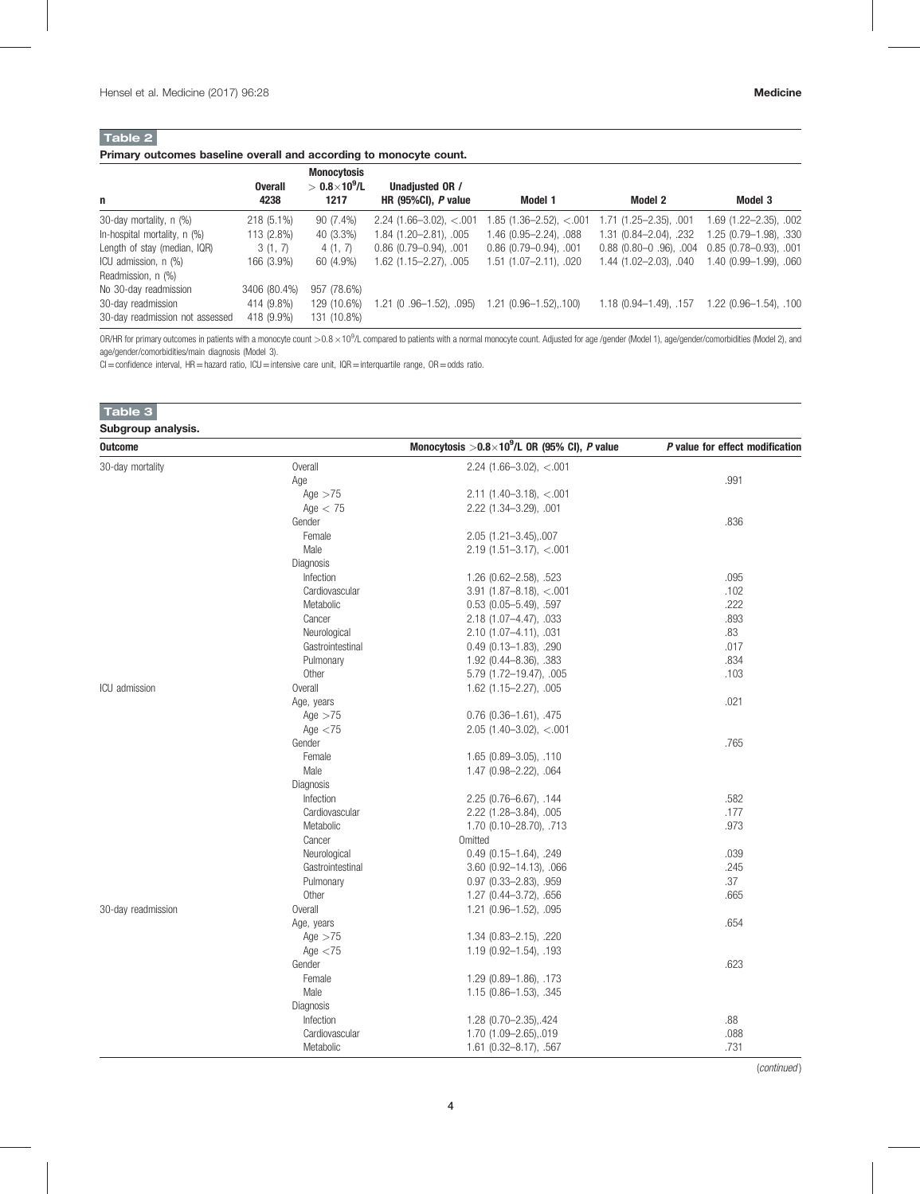# <span id="page-3-0"></span>Table 2

# Primary outcomes baseline overall and according to monocyte count.

| n                               | <b>Overall</b><br>4238 | <b>Monocytosis</b><br>$> 0.8\times10^9$ /L<br>1217 | Unadjusted OR /<br>HR $(95\%$ CI), P value | Model 1                    | Model 2                       | Model 3                         |
|---------------------------------|------------------------|----------------------------------------------------|--------------------------------------------|----------------------------|-------------------------------|---------------------------------|
| 30-day mortality, n (%)         | $218(5.1\%)$           | $90(7.4\%)$                                        | $2.24(1.66-3.02), < 0.01$                  | 1.85 (1.36–2.52), <.001    | $1.71(1.25 - 2.35)$ , 001     | $1.69$ $(1.22 - 2.35)$ , $.002$ |
| In-hospital mortality, n (%)    | 113 (2.8%)             | 40 (3.3%)                                          | 1.84 (1.20-2.81), .005                     | 1.46 (0.95—2.24), .088     | 1.31 (0.84–2.04), .232        | 1.25 (0.79 - 1.98), .330        |
| Length of stay (median, IQR)    | 3(1, 7)                | 4(1, 7)                                            | $0.86$ $(0.79 - 0.94)$ , $.001$            | $0.86$ (0.79-0.94), $.001$ | $0.88$ (0.80 $-0$ .96), .004  | $0.85(0.78 - 0.93)$ , 001       |
| ICU admission, n (%)            | 166 (3.9%)             | 60 (4.9%)                                          | 1.62 (1.15-2.27), .005                     | 1.51 (1.07-2.11), .020     | $1.44$ $(1.02 - 2.03)$ , .040 | 1.40 (0.99-1.99), 060           |
| Readmission, n (%)              |                        |                                                    |                                            |                            |                               |                                 |
| No 30-day readmission           | 3406 (80.4%)           | 957 (78.6%)                                        |                                            |                            |                               |                                 |
| 30-day readmission              | 414 (9.8%)             | 129 (10.6%)                                        | .21 (0.96-1.52), .095)                     | 1.21 (0.96-1.52),.100)     | $1.18(0.94 - 1.49)$ , .157    | $1.22(0.96 - 1.54), .100$       |
| 30-day readmission not assessed | 418 (9.9%)             | 131 (10.8%)                                        |                                            |                            |                               |                                 |

OR/HR for primary outcomes in patients with a monocyte count  $>$  0.8  $\times$  10<sup>9</sup>/L compared to patients with a normal monocyte count. Adjusted for age /gender (Model 1), age/gender/comorbidities (Model 2), and age/gender/comorbidities/main diagnosis (Model 3).

CI=confidence interval, HR=hazard ratio, ICU=intensive care unit, IQR=interquartile range, OR=odds ratio.

| Table 3            |                  |                                                      |                                 |
|--------------------|------------------|------------------------------------------------------|---------------------------------|
| Subgroup analysis. |                  |                                                      |                                 |
| <b>Outcome</b>     |                  | Monocytosis $>0.8\times10^9$ /L OR (95% CI), P value | P value for effect modification |
| 30-day mortality   | Overall          | 2.24 (1.66-3.02), $<$ 0.01                           |                                 |
|                    | Age              |                                                      | .991                            |
|                    | Age $>75$        | $2.11$ (1.40-3.18), <.001                            |                                 |
|                    | Age $< 75$       | 2.22 (1.34-3.29), .001                               |                                 |
|                    | Gender           |                                                      | .836                            |
|                    | Female           | 2.05 (1.21-3.45), 007                                |                                 |
|                    | Male             | $2.19$ (1.51-3.17), <.001                            |                                 |
|                    | Diagnosis        |                                                      |                                 |
|                    | Infection        | 1.26 (0.62-2.58), .523                               | .095                            |
|                    | Cardiovascular   | $3.91(1.87 - 8.18), < 0.01$                          | .102                            |
|                    | Metabolic        | $0.53$ $(0.05 - 5.49)$ , .597                        | .222                            |
|                    | Cancer           | 2.18 (1.07-4.47), .033                               | .893                            |
|                    | Neurological     | 2.10 (1.07-4.11), .031                               | .83                             |
|                    | Gastrointestinal | $0.49(0.13 - 1.83)$ , .290                           | .017                            |
|                    | Pulmonary        | 1.92 (0.44-8.36), .383                               | .834                            |
|                    | Other            | 5.79 (1.72-19.47), .005                              | .103                            |
| ICU admission      | Overall          | $1.62$ (1.15-2.27), .005                             |                                 |
|                    | Age, years       |                                                      | .021                            |
|                    | Age $>75$        | $0.76$ $(0.36 - 1.61)$ , $.475$                      |                                 |
|                    | Age $<$ 75       | $2.05(1.40-3.02), < 0.01$                            |                                 |
|                    | Gender           |                                                      | .765                            |
|                    | Female           | $1.65(0.89 - 3.05), .110$                            |                                 |
|                    | Male             | 1.47 (0.98-2.22), .064                               |                                 |
|                    | Diagnosis        |                                                      |                                 |
|                    | Infection        | $2.25(0.76 - 6.67), .144$                            | .582                            |
|                    | Cardiovascular   | 2.22 (1.28-3.84), .005                               | .177                            |
|                    | Metabolic        | 1.70 (0.10-28.70), .713                              | .973                            |
|                    | Cancer           | Omitted                                              |                                 |
|                    | Neurological     | $0.49(0.15 - 1.64)$ , 249                            | .039                            |
|                    | Gastrointestinal | 3.60 (0.92-14.13), .066                              | .245                            |
|                    | Pulmonary        | $0.97$ $(0.33 - 2.83)$ , $.959$                      | .37                             |
|                    | Other            | 1.27 (0.44-3.72), .656                               | .665                            |
| 30-day readmission | Overall          | 1.21 (0.96-1.52), .095                               |                                 |
|                    | Age, years       |                                                      | .654                            |
|                    | Age $>75$        | $1.34$ (0.83-2.15), .220                             |                                 |
|                    | Age $<$ 75       | 1.19 (0.92-1.54), 193                                |                                 |
|                    | Gender           |                                                      | .623                            |
|                    | Female           | 1.29 (0.89-1.86), .173                               |                                 |
|                    | Male             | 1.15 (0.86-1.53), .345                               |                                 |
|                    | Diagnosis        |                                                      |                                 |
|                    | Infection        | 1.28 (0.70-2.35), 424                                | .88                             |
|                    | Cardiovascular   | 1.70 (1.09-2.65), 019                                | .088                            |
|                    | Metabolic        | $1.61$ $(0.32 - 8.17)$ , .567                        | .731                            |

(continued )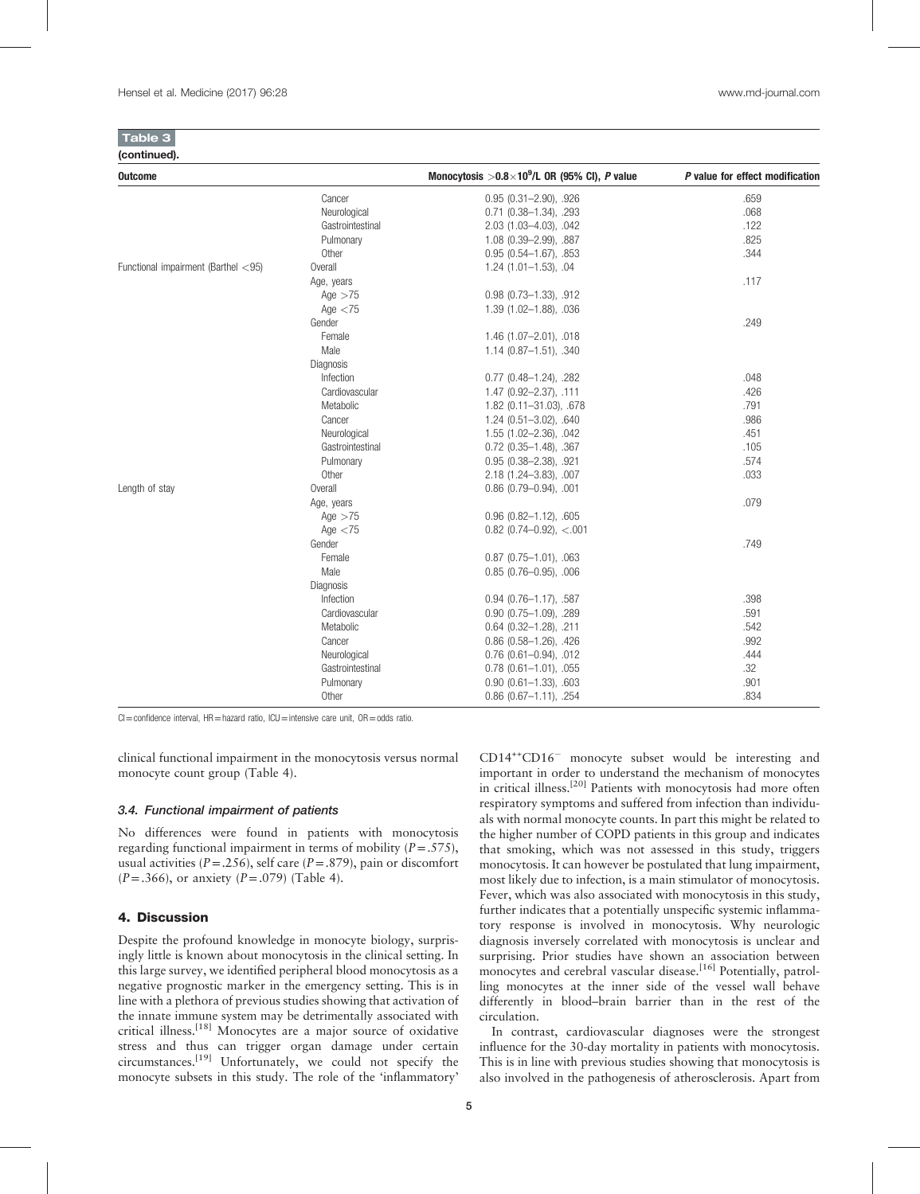| ш |  |
|---|--|

| <b>Outcome</b>                      |                   | Monocytosis $>0.8\times10^9$ /L OR (95% CI), P value | P value for effect modification |
|-------------------------------------|-------------------|------------------------------------------------------|---------------------------------|
|                                     | Cancer            | $0.95(0.31 - 2.90), .926$                            | .659                            |
|                                     | Neurological      | $0.71$ $(0.38 - 1.34)$ , .293                        | .068                            |
|                                     | Gastrointestinal  | 2.03 (1.03-4.03), .042                               | .122                            |
|                                     | Pulmonary         | 1.08 (0.39-2.99), .887                               | .825                            |
|                                     | Other             | $0.95(0.54 - 1.67), .853$                            | .344                            |
| Functional impairment (Barthel <95) | Overall           | $1.24$ $(1.01 - 1.53)$ , .04                         |                                 |
|                                     | Age, years        |                                                      | .117                            |
|                                     | Age $>75$         | $0.98$ $(0.73 - 1.33)$ , $.912$                      |                                 |
|                                     | Age $<$ 75        | 1.39 (1.02-1.88), .036                               |                                 |
|                                     | Gender            |                                                      | .249                            |
|                                     | Female            | $1.46$ (1.07-2.01), .018                             |                                 |
|                                     | Male              | $1.14$ (0.87-1.51), .340                             |                                 |
|                                     | Diagnosis         |                                                      |                                 |
|                                     | Infection         | $0.77$ (0.48-1.24), .282                             | .048                            |
|                                     | Cardiovascular    | 1.47 (0.92-2.37), .111                               | .426                            |
|                                     | Metabolic         | 1.82 (0.11-31.03), .678                              | .791                            |
|                                     | Cancer            | $1.24$ (0.51-3.02), .640                             | .986                            |
|                                     | Neurological      | $1.55(1.02 - 2.36), .042$                            | .451                            |
|                                     | Gastrointestinal  | $0.72$ $(0.35 - 1.48)$ , .367                        | .105                            |
|                                     | Pulmonary         | $0.95$ $(0.38 - 2.38)$ , 921                         | .574                            |
|                                     | Other             | 2.18 (1.24-3.83), .007                               | .033                            |
| Length of stay                      | Overall           | $0.86$ (0.79-0.94), .001                             |                                 |
|                                     | Age, years        |                                                      | .079                            |
|                                     | Age $>75$         | $0.96$ $(0.82 - 1.12)$ , .605                        |                                 |
|                                     | Age $<$ 75        | $0.82$ (0.74-0.92), <.001                            |                                 |
|                                     | Gender            |                                                      | .749                            |
|                                     | Female            | $0.87$ (0.75-1.01), .063                             |                                 |
|                                     | Male              | $0.85$ (0.76-0.95), .006                             |                                 |
|                                     | Diagnosis         |                                                      |                                 |
|                                     | Infection         | $0.94$ (0.76-1.17), .587                             | .398                            |
|                                     | Cardiovascular    | $0.90$ $(0.75 - 1.09)$ , .289                        | .591                            |
|                                     | Metabolic         | $0.64$ $(0.32 - 1.28)$ , .211                        | .542                            |
|                                     | Cancer            | $0.86$ (0.58-1.26), .426                             | .992                            |
|                                     | Neurological      | $0.76$ (0.61-0.94), .012                             | .444                            |
|                                     | Gastrointestinal  | $0.78$ $(0.61 - 1.01)$ , $.055$                      | .32                             |
|                                     | Pulmonary         | $0.90$ $(0.61 - 1.33)$ , .603                        | .901                            |
|                                     | 0 <sub>thor</sub> | $0.06$ $(0.67 + 11)$ $0.54$                          | OQA                             |

 $Cl =$ confidence interval, HR = hazard ratio,  $ICU =$ intensive care unit,  $OR =$ odds ratio.

clinical functional impairment in the monocytosis versus normal monocyte count group ([Table 4](#page-5-0)).

#### 3.4. Functional impairment of patients

No differences were found in patients with monocytosis regarding functional impairment in terms of mobility  $(P=.575)$ , usual activities ( $P = .256$ ), self care ( $P = .879$ ), pain or discomfort  $(P=.366)$ , or anxiety  $(P=.079)$  [\(Table 4](#page-5-0)).

#### 4. Discussion

Despite the profound knowledge in monocyte biology, surprisingly little is known about monocytosis in the clinical setting. In this large survey, we identified peripheral blood monocytosis as a negative prognostic marker in the emergency setting. This is in line with a plethora of previous studies showing that activation of the innate immune system may be detrimentally associated with critical illness.[\[18\]](#page-6-0) Monocytes are a major source of oxidative stress and thus can trigger organ damage under certain  $circumstances.<sup>[19]</sup> Unfortunately, we could not specify the$  $circumstances.<sup>[19]</sup> Unfortunately, we could not specify the$  $circumstances.<sup>[19]</sup> Unfortunately, we could not specify the$ monocyte subsets in this study. The role of the 'inflammatory'

CD14<sup>++</sup>CD16<sup>-</sup> monocyte subset would be interesting and important in order to understand the mechanism of monocytes Other 0.86 (0.67–1.11), .254 .834

in critical illness.[\[20\]](#page-6-0) Patients with monocytosis had more often respiratory symptoms and suffered from infection than individuals with normal monocyte counts. In part this might be related to the higher number of COPD patients in this group and indicates that smoking, which was not assessed in this study, triggers monocytosis. It can however be postulated that lung impairment, most likely due to infection, is a main stimulator of monocytosis. Fever, which was also associated with monocytosis in this study, further indicates that a potentially unspecific systemic inflammatory response is involved in monocytosis. Why neurologic diagnosis inversely correlated with monocytosis is unclear and surprising. Prior studies have shown an association between monocytes and cerebral vascular disease.<sup>[\[16\]](#page-6-0)</sup> Potentially, patrolling monocytes at the inner side of the vessel wall behave differently in blood–brain barrier than in the rest of the circulation.

In contrast, cardiovascular diagnoses were the strongest influence for the 30-day mortality in patients with monocytosis. This is in line with previous studies showing that monocytosis is also involved in the pathogenesis of atherosclerosis. Apart from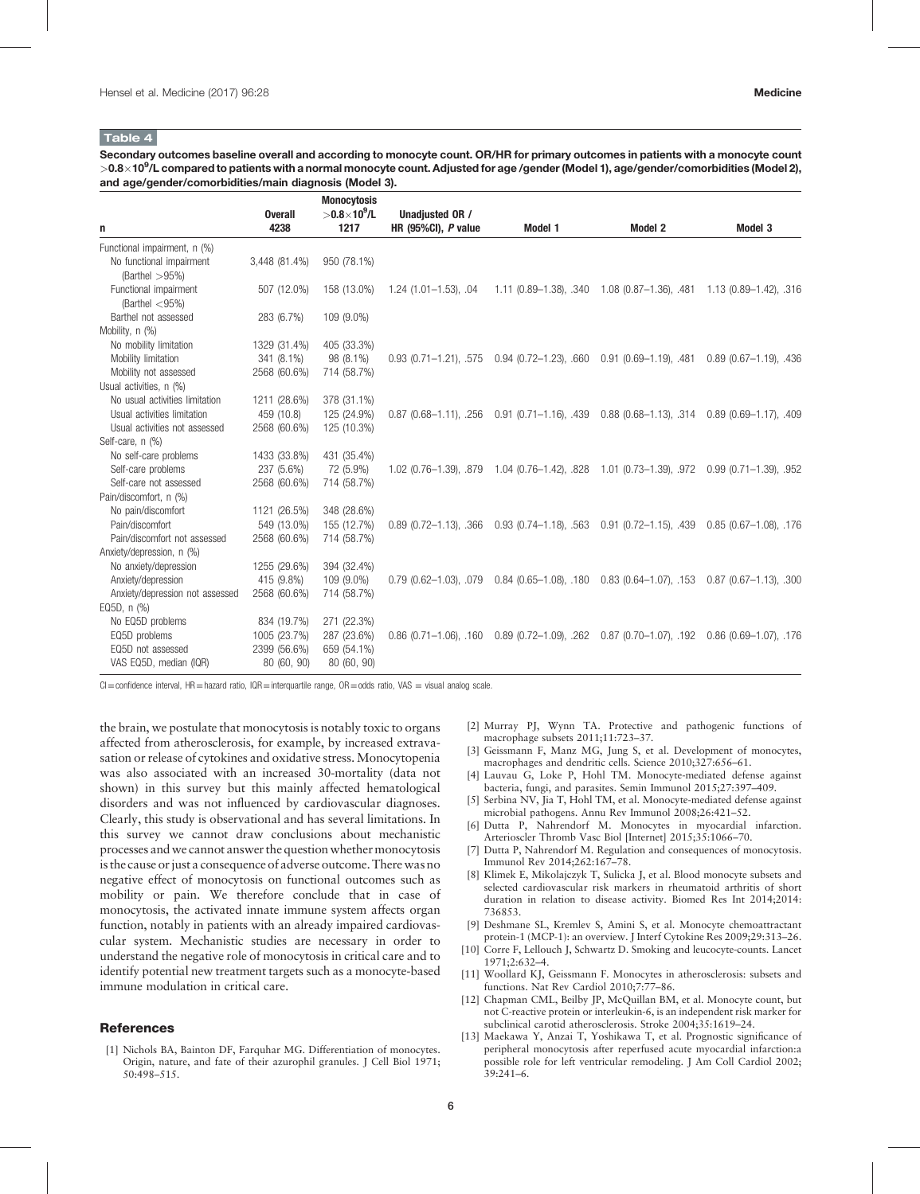#### <span id="page-5-0"></span>Table 4

Secondary outcomes baseline overall and according to monocyte count. OR/HR for primary outcomes in patients with a monocyte count  $>$  0.8 $\times$  10 $^9$ /L compared to patients with a normal monocyte count. Adjusted for age /gender (Model 1), age/gender/comorbidities (Model 2), and age/gender/comorbidities/main diagnosis (Model 3).

| n                               | <b>Overall</b><br>4238 | <b>Monocytosis</b><br>$>$ 0.8 $\times$ 10 <sup>9</sup> /L<br>1217 | Unadjusted OR /<br>HR $(95\%$ CI), P value | Model 1 | Model 2                                                                  | Model 3                       |
|---------------------------------|------------------------|-------------------------------------------------------------------|--------------------------------------------|---------|--------------------------------------------------------------------------|-------------------------------|
| Functional impairment, n (%)    |                        |                                                                   |                                            |         |                                                                          |                               |
| No functional impairment        | 3,448 (81.4%)          | 950 (78.1%)                                                       |                                            |         |                                                                          |                               |
| (Barthel $>95\%$ )              |                        |                                                                   |                                            |         |                                                                          |                               |
| Functional impairment           | 507 (12.0%)            | 158 (13.0%)                                                       | $1.24(1.01 - 1.53)$ , 04                   |         | 1.11 (0.89–1.38), .340 1.08 (0.87–1.36), .481 1.13 (0.89–1.42), .316     |                               |
| (Barthel $<$ 95%)               |                        |                                                                   |                                            |         |                                                                          |                               |
| Barthel not assessed            | 283 (6.7%)             | 109 (9.0%)                                                        |                                            |         |                                                                          |                               |
| Mobility, n (%)                 |                        |                                                                   |                                            |         |                                                                          |                               |
| No mobility limitation          | 1329 (31.4%)           | 405 (33.3%)                                                       |                                            |         |                                                                          |                               |
| Mobility limitation             | 341 (8.1%)             | 98 (8.1%)                                                         | $0.93$ $(0.71 - 1.21)$ , .575              |         | $0.94$ (0.72-1.23), .660  0.91 (0.69-1.19), .481  0.89 (0.67-1.19), .436 |                               |
| Mobility not assessed           | 2568 (60.6%)           | 714 (58.7%)                                                       |                                            |         |                                                                          |                               |
| Usual activities, n (%)         |                        |                                                                   |                                            |         |                                                                          |                               |
| No usual activities limitation  | 1211 (28.6%)           | 378 (31.1%)                                                       |                                            |         |                                                                          |                               |
| Usual activities limitation     | 459 (10.8)             | 125 (24.9%)                                                       | $0.87(0.68 - 1.11)$ , .256                 |         | $0.91(0.71-1.16), .439(0.88(0.68-1.13), .314)$                           | $0.89$ $(0.69 - 1.17)$ , .409 |
| Usual activities not assessed   | 2568 (60.6%)           | 125 (10.3%)                                                       |                                            |         |                                                                          |                               |
| Self-care, n (%)                |                        |                                                                   |                                            |         |                                                                          |                               |
| No self-care problems           | 1433 (33.8%)           | 431 (35.4%)                                                       |                                            |         |                                                                          |                               |
| Self-care problems              | 237 (5.6%)             | 72 (5.9%)                                                         | 1.02 (0.76-1.39), .879                     |         |                                                                          | $0.99(0.71 - 1.39)$ , .952    |
| Self-care not assessed          | 2568 (60.6%)           | 714 (58.7%)                                                       |                                            |         |                                                                          |                               |
| Pain/discomfort, n (%)          |                        |                                                                   |                                            |         |                                                                          |                               |
| No pain/discomfort              | 1121 (26.5%)           | 348 (28.6%)                                                       |                                            |         |                                                                          |                               |
| Pain/discomfort                 | 549 (13.0%)            | 155 (12.7%)                                                       | $0.89$ $(0.72 - 1.13)$ , .366              |         | $0.93(0.74-1.18), .563$ 0.91 $(0.72-1.15), .439$                         | $0.85(0.67 - 1.08)$ , .176    |
| Pain/discomfort not assessed    | 2568 (60.6%)           | 714 (58.7%)                                                       |                                            |         |                                                                          |                               |
| Anxiety/depression, n (%)       |                        |                                                                   |                                            |         |                                                                          |                               |
| No anxiety/depression           | 1255 (29.6%)           | 394 (32.4%)                                                       |                                            |         |                                                                          |                               |
| Anxiety/depression              | 415 (9.8%)             | 109 (9.0%)                                                        | $0.79$ $(0.62 - 1.03)$ , $.079$            |         | $0.84$ (0.65-1.08), .180 0.83 (0.64-1.07), .153                          | $0.87$ (0.67-1.13), .300      |
| Anxiety/depression not assessed | 2568 (60.6%)           | 714 (58.7%)                                                       |                                            |         |                                                                          |                               |
| EQ5D, n (%)                     |                        |                                                                   |                                            |         |                                                                          |                               |
| No EQ5D problems                | 834 (19.7%)            | 271 (22.3%)                                                       |                                            |         |                                                                          |                               |
| EQ5D problems                   | 1005 (23.7%)           | 287 (23.6%)                                                       | $0.86$ (0.71-1.06), .160                   |         | 0.89 (0.72-1.09), .262  0.87 (0.70-1.07), .192  0.86 (0.69-1.07), .176   |                               |
| EQ5D not assessed               | 2399 (56.6%)           | 659 (54.1%)                                                       |                                            |         |                                                                          |                               |
| VAS EQ5D, median (IQR)          | 80 (60, 90)            | 80 (60, 90)                                                       |                                            |         |                                                                          |                               |

 $Cl =$ confidence interval, HR=hazard ratio, IQR=interquartile range, OR=odds ratio, VAS = visual analog scale.

the brain, we postulate that monocytosis is notably toxic to organs affected from atherosclerosis, for example, by increased extravasation or release of cytokines and oxidative stress. Monocytopenia was also associated with an increased 30-mortality (data not shown) in this survey but this mainly affected hematological disorders and was not influenced by cardiovascular diagnoses. Clearly, this study is observational and has several limitations. In this survey we cannot draw conclusions about mechanistic processes and we cannot answer the question whether monocytosis is the cause or just a consequence of adverse outcome. There was no negative effect of monocytosis on functional outcomes such as mobility or pain. We therefore conclude that in case of monocytosis, the activated innate immune system affects organ function, notably in patients with an already impaired cardiovascular system. Mechanistic studies are necessary in order to understand the negative role of monocytosis in critical care and to identify potential new treatment targets such as a monocyte-based immune modulation in critical care.

## **References**

[1] Nichols BA, Bainton DF, Farquhar MG. Differentiation of monocytes. Origin, nature, and fate of their azurophil granules. J Cell Biol 1971; 50:498–515.

- [2] Murray PJ, Wynn TA. Protective and pathogenic functions of macrophage subsets 2011;11:723–37.
- [3] Geissmann F, Manz MG, Jung S, et al. Development of monocytes, macrophages and dendritic cells. Science 2010;327:656–61.
- Lauvau G, Loke P, Hohl TM. Monocyte-mediated defense against bacteria, fungi, and parasites. Semin Immunol 2015;27:397–409.
- [5] Serbina NV, Jia T, Hohl TM, et al. Monocyte-mediated defense against microbial pathogens. Annu Rev Immunol 2008;26:421–52.
- [6] Dutta P, Nahrendorf M. Monocytes in myocardial infarction. Arterioscler Thromb Vasc Biol [Internet] 2015;35:1066–70.
- [7] Dutta P, Nahrendorf M. Regulation and consequences of monocytosis. Immunol Rev 2014;262:167–78.
- [8] Klimek E, Mikolajczyk T, Sulicka J, et al. Blood monocyte subsets and selected cardiovascular risk markers in rheumatoid arthritis of short duration in relation to disease activity. Biomed Res Int 2014;2014: 736853.
- [9] Deshmane SL, Kremlev S, Amini S, et al. Monocyte chemoattractant protein-1 (MCP-1): an overview. J Interf Cytokine Res 2009;29:313–26.
- [10] Corre F, Lellouch J, Schwartz D. Smoking and leucocyte-counts. Lancet 1971;2:632–4.
- [11] Woollard KJ, Geissmann F. Monocytes in atherosclerosis: subsets and functions. Nat Rev Cardiol 2010;7:77–86.
- [12] Chapman CML, Beilby JP, McQuillan BM, et al. Monocyte count, but not C-reactive protein or interleukin-6, is an independent risk marker for subclinical carotid atherosclerosis. Stroke 2004;35:1619–24.
- [13] Maekawa Y, Anzai T, Yoshikawa T, et al. Prognostic significance of peripheral monocytosis after reperfused acute myocardial infarction:a possible role for left ventricular remodeling. J Am Coll Cardiol 2002; 39:241–6.